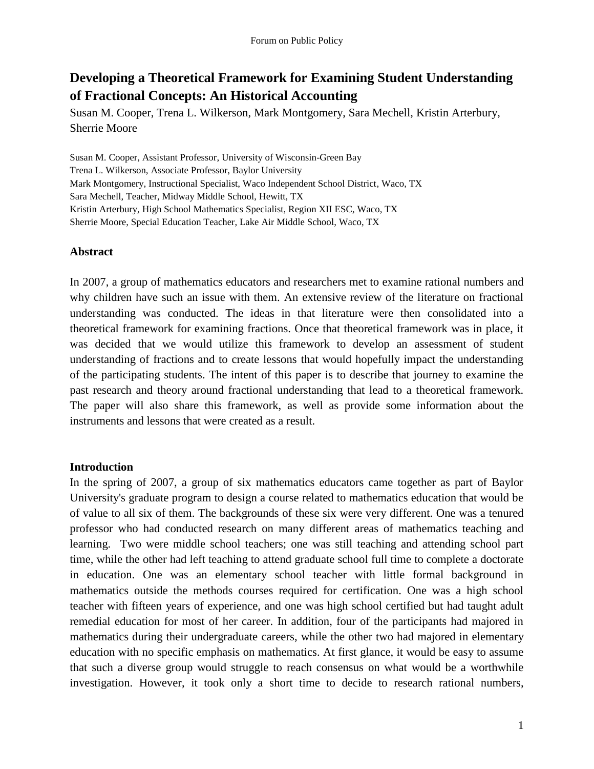# **Developing a Theoretical Framework for Examining Student Understanding of Fractional Concepts: An Historical Accounting**

Susan M. Cooper, Trena L. Wilkerson, Mark Montgomery, Sara Mechell, Kristin Arterbury, Sherrie Moore

Susan M. Cooper, Assistant Professor, University of Wisconsin-Green Bay Trena L. Wilkerson, Associate Professor, Baylor University Mark Montgomery, Instructional Specialist, Waco Independent School District, Waco, TX Sara Mechell, Teacher, Midway Middle School, Hewitt, TX Kristin Arterbury, High School Mathematics Specialist, Region XII ESC, Waco, TX Sherrie Moore, Special Education Teacher, Lake Air Middle School, Waco, TX

# **Abstract**

In 2007, a group of mathematics educators and researchers met to examine rational numbers and why children have such an issue with them. An extensive review of the literature on fractional understanding was conducted. The ideas in that literature were then consolidated into a theoretical framework for examining fractions. Once that theoretical framework was in place, it was decided that we would utilize this framework to develop an assessment of student understanding of fractions and to create lessons that would hopefully impact the understanding of the participating students. The intent of this paper is to describe that journey to examine the past research and theory around fractional understanding that lead to a theoretical framework. The paper will also share this framework, as well as provide some information about the instruments and lessons that were created as a result.

### **Introduction**

In the spring of 2007, a group of six mathematics educators came together as part of Baylor University's graduate program to design a course related to mathematics education that would be of value to all six of them. The backgrounds of these six were very different. One was a tenured professor who had conducted research on many different areas of mathematics teaching and learning. Two were middle school teachers; one was still teaching and attending school part time, while the other had left teaching to attend graduate school full time to complete a doctorate in education. One was an elementary school teacher with little formal background in mathematics outside the methods courses required for certification. One was a high school teacher with fifteen years of experience, and one was high school certified but had taught adult remedial education for most of her career. In addition, four of the participants had majored in mathematics during their undergraduate careers, while the other two had majored in elementary education with no specific emphasis on mathematics. At first glance, it would be easy to assume that such a diverse group would struggle to reach consensus on what would be a worthwhile investigation. However, it took only a short time to decide to research rational numbers,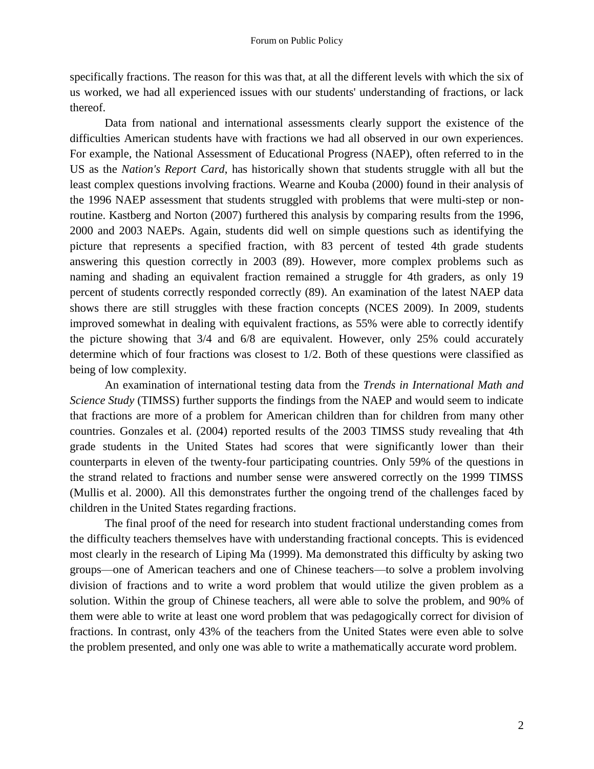specifically fractions. The reason for this was that, at all the different levels with which the six of us worked, we had all experienced issues with our students' understanding of fractions, or lack thereof.

Data from national and international assessments clearly support the existence of the difficulties American students have with fractions we had all observed in our own experiences. For example, the National Assessment of Educational Progress (NAEP), often referred to in the US as the *Nation's Report Card*, has historically shown that students struggle with all but the least complex questions involving fractions. Wearne and Kouba (2000) found in their analysis of the 1996 NAEP assessment that students struggled with problems that were multi-step or nonroutine. Kastberg and Norton (2007) furthered this analysis by comparing results from the 1996, 2000 and 2003 NAEPs. Again, students did well on simple questions such as identifying the picture that represents a specified fraction, with 83 percent of tested 4th grade students answering this question correctly in 2003 (89). However, more complex problems such as naming and shading an equivalent fraction remained a struggle for 4th graders, as only 19 percent of students correctly responded correctly (89). An examination of the latest NAEP data shows there are still struggles with these fraction concepts (NCES 2009). In 2009, students improved somewhat in dealing with equivalent fractions, as 55% were able to correctly identify the picture showing that 3/4 and 6/8 are equivalent. However, only 25% could accurately determine which of four fractions was closest to 1/2. Both of these questions were classified as being of low complexity.

An examination of international testing data from the *Trends in International Math and Science Study* (TIMSS) further supports the findings from the NAEP and would seem to indicate that fractions are more of a problem for American children than for children from many other countries. Gonzales et al. (2004) reported results of the 2003 TIMSS study revealing that 4th grade students in the United States had scores that were significantly lower than their counterparts in eleven of the twenty-four participating countries. Only 59% of the questions in the strand related to fractions and number sense were answered correctly on the 1999 TIMSS (Mullis et al. 2000). All this demonstrates further the ongoing trend of the challenges faced by children in the United States regarding fractions.

The final proof of the need for research into student fractional understanding comes from the difficulty teachers themselves have with understanding fractional concepts. This is evidenced most clearly in the research of Liping Ma (1999). Ma demonstrated this difficulty by asking two groups—one of American teachers and one of Chinese teachers—to solve a problem involving division of fractions and to write a word problem that would utilize the given problem as a solution. Within the group of Chinese teachers, all were able to solve the problem, and 90% of them were able to write at least one word problem that was pedagogically correct for division of fractions. In contrast, only 43% of the teachers from the United States were even able to solve the problem presented, and only one was able to write a mathematically accurate word problem.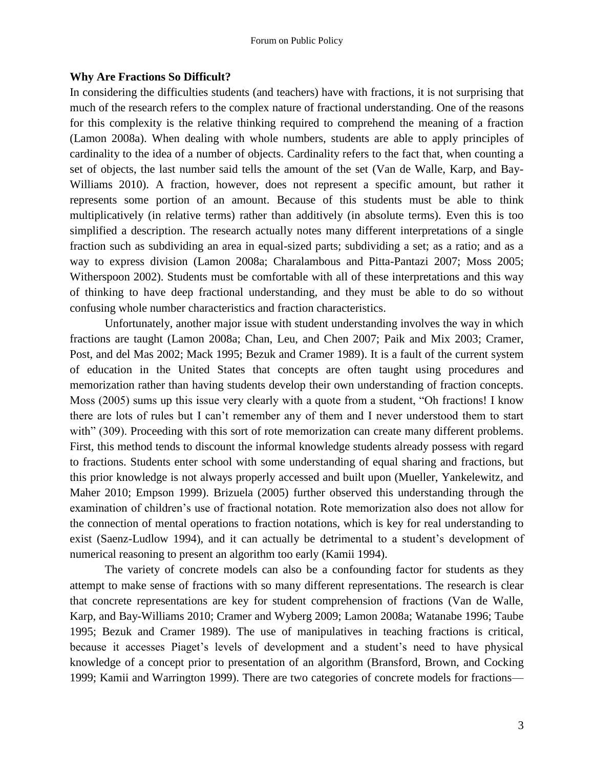# **Why Are Fractions So Difficult?**

In considering the difficulties students (and teachers) have with fractions, it is not surprising that much of the research refers to the complex nature of fractional understanding. One of the reasons for this complexity is the relative thinking required to comprehend the meaning of a fraction (Lamon 2008a). When dealing with whole numbers, students are able to apply principles of cardinality to the idea of a number of objects. Cardinality refers to the fact that, when counting a set of objects, the last number said tells the amount of the set (Van de Walle, Karp, and Bay-Williams 2010). A fraction, however, does not represent a specific amount, but rather it represents some portion of an amount. Because of this students must be able to think multiplicatively (in relative terms) rather than additively (in absolute terms). Even this is too simplified a description. The research actually notes many different interpretations of a single fraction such as subdividing an area in equal-sized parts; subdividing a set; as a ratio; and as a way to express division (Lamon 2008a; Charalambous and Pitta-Pantazi 2007; Moss 2005; Witherspoon 2002). Students must be comfortable with all of these interpretations and this way of thinking to have deep fractional understanding, and they must be able to do so without confusing whole number characteristics and fraction characteristics.

Unfortunately, another major issue with student understanding involves the way in which fractions are taught (Lamon 2008a; Chan, Leu, and Chen 2007; Paik and Mix 2003; Cramer, Post, and del Mas 2002; Mack 1995; Bezuk and Cramer 1989). It is a fault of the current system of education in the United States that concepts are often taught using procedures and memorization rather than having students develop their own understanding of fraction concepts. Moss (2005) sums up this issue very clearly with a quote from a student, "Oh fractions! I know there are lots of rules but I can't remember any of them and I never understood them to start with" (309). Proceeding with this sort of rote memorization can create many different problems. First, this method tends to discount the informal knowledge students already possess with regard to fractions. Students enter school with some understanding of equal sharing and fractions, but this prior knowledge is not always properly accessed and built upon (Mueller, Yankelewitz, and Maher 2010; Empson 1999). Brizuela (2005) further observed this understanding through the examination of children's use of fractional notation. Rote memorization also does not allow for the connection of mental operations to fraction notations, which is key for real understanding to exist (Saenz-Ludlow 1994), and it can actually be detrimental to a student's development of numerical reasoning to present an algorithm too early (Kamii 1994).

The variety of concrete models can also be a confounding factor for students as they attempt to make sense of fractions with so many different representations. The research is clear that concrete representations are key for student comprehension of fractions (Van de Walle, Karp, and Bay-Williams 2010; Cramer and Wyberg 2009; Lamon 2008a; Watanabe 1996; Taube 1995; Bezuk and Cramer 1989). The use of manipulatives in teaching fractions is critical, because it accesses Piaget's levels of development and a student's need to have physical knowledge of a concept prior to presentation of an algorithm (Bransford, Brown, and Cocking 1999; Kamii and Warrington 1999). There are two categories of concrete models for fractions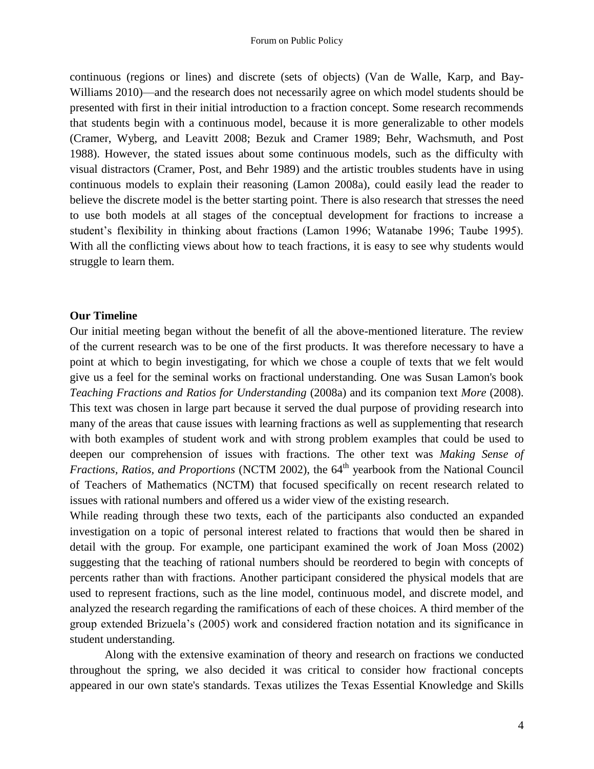continuous (regions or lines) and discrete (sets of objects) (Van de Walle, Karp, and Bay-Williams 2010)—and the research does not necessarily agree on which model students should be presented with first in their initial introduction to a fraction concept. Some research recommends that students begin with a continuous model, because it is more generalizable to other models (Cramer, Wyberg, and Leavitt 2008; Bezuk and Cramer 1989; Behr, Wachsmuth, and Post 1988). However, the stated issues about some continuous models, such as the difficulty with visual distractors (Cramer, Post, and Behr 1989) and the artistic troubles students have in using continuous models to explain their reasoning (Lamon 2008a), could easily lead the reader to believe the discrete model is the better starting point. There is also research that stresses the need to use both models at all stages of the conceptual development for fractions to increase a student's flexibility in thinking about fractions (Lamon 1996; Watanabe 1996; Taube 1995). With all the conflicting views about how to teach fractions, it is easy to see why students would struggle to learn them.

#### **Our Timeline**

Our initial meeting began without the benefit of all the above-mentioned literature. The review of the current research was to be one of the first products. It was therefore necessary to have a point at which to begin investigating, for which we chose a couple of texts that we felt would give us a feel for the seminal works on fractional understanding. One was Susan Lamon's book *Teaching Fractions and Ratios for Understanding* (2008a) and its companion text *More* (2008). This text was chosen in large part because it served the dual purpose of providing research into many of the areas that cause issues with learning fractions as well as supplementing that research with both examples of student work and with strong problem examples that could be used to deepen our comprehension of issues with fractions. The other text was *Making Sense of Fractions, Ratios, and Proportions* (NCTM 2002), the 64<sup>th</sup> yearbook from the National Council of Teachers of Mathematics (NCTM) that focused specifically on recent research related to issues with rational numbers and offered us a wider view of the existing research.

While reading through these two texts, each of the participants also conducted an expanded investigation on a topic of personal interest related to fractions that would then be shared in detail with the group. For example, one participant examined the work of Joan Moss (2002) suggesting that the teaching of rational numbers should be reordered to begin with concepts of percents rather than with fractions. Another participant considered the physical models that are used to represent fractions, such as the line model, continuous model, and discrete model, and analyzed the research regarding the ramifications of each of these choices. A third member of the group extended Brizuela's (2005) work and considered fraction notation and its significance in student understanding.

Along with the extensive examination of theory and research on fractions we conducted throughout the spring, we also decided it was critical to consider how fractional concepts appeared in our own state's standards. Texas utilizes the Texas Essential Knowledge and Skills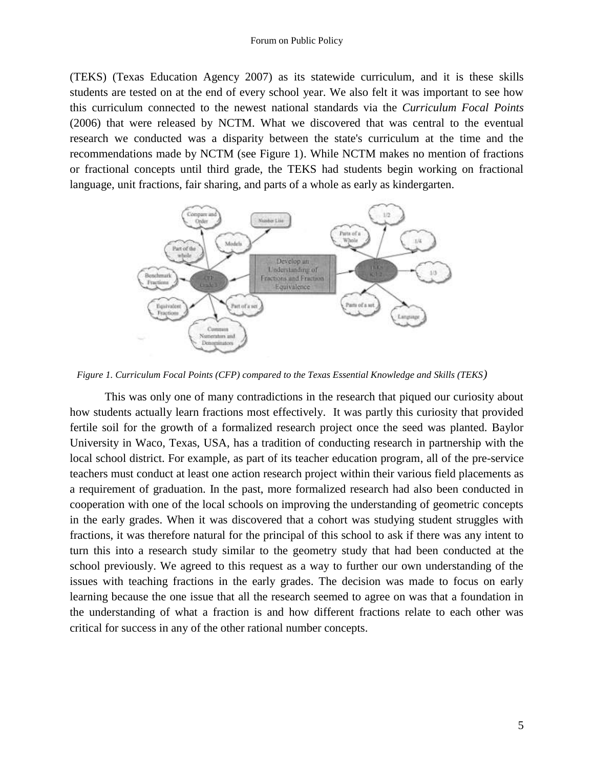#### Forum on Public Policy

(TEKS) (Texas Education Agency 2007) as its statewide curriculum, and it is these skills students are tested on at the end of every school year. We also felt it was important to see how this curriculum connected to the newest national standards via the *Curriculum Focal Points* (2006) that were released by NCTM. What we discovered that was central to the eventual research we conducted was a disparity between the state's curriculum at the time and the recommendations made by NCTM (see Figure 1). While NCTM makes no mention of fractions or fractional concepts until third grade, the TEKS had students begin working on fractional language, unit fractions, fair sharing, and parts of a whole as early as kindergarten.



*Figure 1. Curriculum Focal Points (CFP) compared to the Texas Essential Knowledge and Skills (TEKS)*

This was only one of many contradictions in the research that piqued our curiosity about how students actually learn fractions most effectively. It was partly this curiosity that provided fertile soil for the growth of a formalized research project once the seed was planted. Baylor University in Waco, Texas, USA, has a tradition of conducting research in partnership with the local school district. For example, as part of its teacher education program, all of the pre-service teachers must conduct at least one action research project within their various field placements as a requirement of graduation. In the past, more formalized research had also been conducted in cooperation with one of the local schools on improving the understanding of geometric concepts in the early grades. When it was discovered that a cohort was studying student struggles with fractions, it was therefore natural for the principal of this school to ask if there was any intent to turn this into a research study similar to the geometry study that had been conducted at the school previously. We agreed to this request as a way to further our own understanding of the issues with teaching fractions in the early grades. The decision was made to focus on early learning because the one issue that all the research seemed to agree on was that a foundation in the understanding of what a fraction is and how different fractions relate to each other was critical for success in any of the other rational number concepts.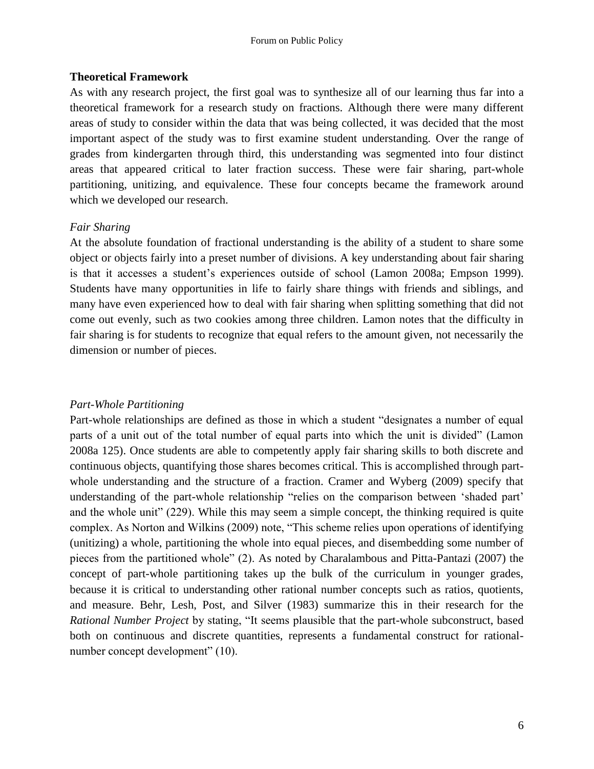#### Forum on Public Policy

### **Theoretical Framework**

As with any research project, the first goal was to synthesize all of our learning thus far into a theoretical framework for a research study on fractions. Although there were many different areas of study to consider within the data that was being collected, it was decided that the most important aspect of the study was to first examine student understanding. Over the range of grades from kindergarten through third, this understanding was segmented into four distinct areas that appeared critical to later fraction success. These were fair sharing, part-whole partitioning, unitizing, and equivalence. These four concepts became the framework around which we developed our research.

# *Fair Sharing*

At the absolute foundation of fractional understanding is the ability of a student to share some object or objects fairly into a preset number of divisions. A key understanding about fair sharing is that it accesses a student's experiences outside of school (Lamon 2008a; Empson 1999). Students have many opportunities in life to fairly share things with friends and siblings, and many have even experienced how to deal with fair sharing when splitting something that did not come out evenly, such as two cookies among three children. Lamon notes that the difficulty in fair sharing is for students to recognize that equal refers to the amount given, not necessarily the dimension or number of pieces.

### *Part-Whole Partitioning*

Part-whole relationships are defined as those in which a student "designates a number of equal parts of a unit out of the total number of equal parts into which the unit is divided" (Lamon 2008a 125). Once students are able to competently apply fair sharing skills to both discrete and continuous objects, quantifying those shares becomes critical. This is accomplished through partwhole understanding and the structure of a fraction. Cramer and Wyberg (2009) specify that understanding of the part-whole relationship "relies on the comparison between 'shaded part' and the whole unit" (229). While this may seem a simple concept, the thinking required is quite complex. As Norton and Wilkins (2009) note, "This scheme relies upon operations of identifying (unitizing) a whole, partitioning the whole into equal pieces, and disembedding some number of pieces from the partitioned whole" (2). As noted by Charalambous and Pitta-Pantazi (2007) the concept of part-whole partitioning takes up the bulk of the curriculum in younger grades, because it is critical to understanding other rational number concepts such as ratios, quotients, and measure. Behr, Lesh, Post, and Silver (1983) summarize this in their research for the *Rational Number Project* by stating, "It seems plausible that the part-whole subconstruct, based both on continuous and discrete quantities, represents a fundamental construct for rationalnumber concept development" (10).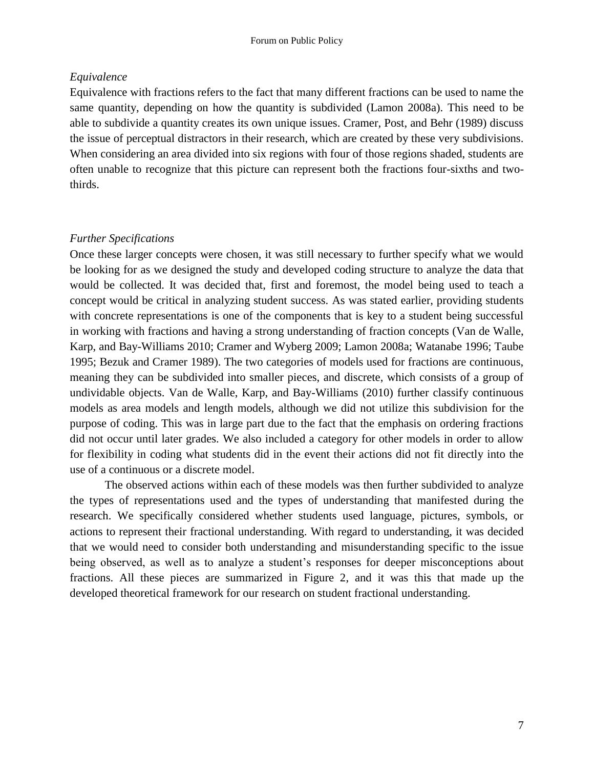# *Equivalence*

Equivalence with fractions refers to the fact that many different fractions can be used to name the same quantity, depending on how the quantity is subdivided (Lamon 2008a). This need to be able to subdivide a quantity creates its own unique issues. Cramer, Post, and Behr (1989) discuss the issue of perceptual distractors in their research, which are created by these very subdivisions. When considering an area divided into six regions with four of those regions shaded, students are often unable to recognize that this picture can represent both the fractions four-sixths and twothirds.

# *Further Specifications*

Once these larger concepts were chosen, it was still necessary to further specify what we would be looking for as we designed the study and developed coding structure to analyze the data that would be collected. It was decided that, first and foremost, the model being used to teach a concept would be critical in analyzing student success. As was stated earlier, providing students with concrete representations is one of the components that is key to a student being successful in working with fractions and having a strong understanding of fraction concepts (Van de Walle, Karp, and Bay-Williams 2010; Cramer and Wyberg 2009; Lamon 2008a; Watanabe 1996; Taube 1995; Bezuk and Cramer 1989). The two categories of models used for fractions are continuous, meaning they can be subdivided into smaller pieces, and discrete, which consists of a group of undividable objects. Van de Walle, Karp, and Bay-Williams (2010) further classify continuous models as area models and length models, although we did not utilize this subdivision for the purpose of coding. This was in large part due to the fact that the emphasis on ordering fractions did not occur until later grades. We also included a category for other models in order to allow for flexibility in coding what students did in the event their actions did not fit directly into the use of a continuous or a discrete model.

The observed actions within each of these models was then further subdivided to analyze the types of representations used and the types of understanding that manifested during the research. We specifically considered whether students used language, pictures, symbols, or actions to represent their fractional understanding. With regard to understanding, it was decided that we would need to consider both understanding and misunderstanding specific to the issue being observed, as well as to analyze a student's responses for deeper misconceptions about fractions. All these pieces are summarized in Figure 2, and it was this that made up the developed theoretical framework for our research on student fractional understanding.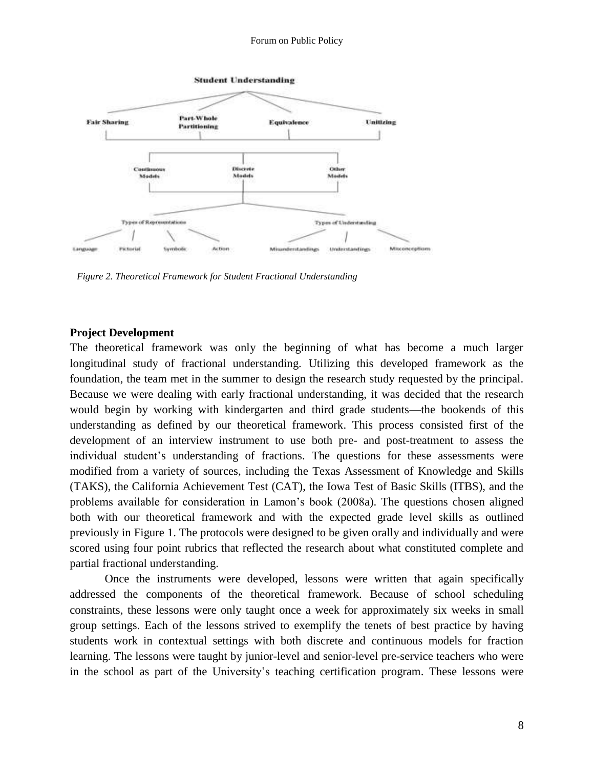#### Forum on Public Policy



*Figure 2. Theoretical Framework for Student Fractional Understanding*

#### **Project Development**

The theoretical framework was only the beginning of what has become a much larger longitudinal study of fractional understanding. Utilizing this developed framework as the foundation, the team met in the summer to design the research study requested by the principal. Because we were dealing with early fractional understanding, it was decided that the research would begin by working with kindergarten and third grade students—the bookends of this understanding as defined by our theoretical framework. This process consisted first of the development of an interview instrument to use both pre- and post-treatment to assess the individual student's understanding of fractions. The questions for these assessments were modified from a variety of sources, including the Texas Assessment of Knowledge and Skills (TAKS), the California Achievement Test (CAT), the Iowa Test of Basic Skills (ITBS), and the problems available for consideration in Lamon's book (2008a). The questions chosen aligned both with our theoretical framework and with the expected grade level skills as outlined previously in Figure 1. The protocols were designed to be given orally and individually and were scored using four point rubrics that reflected the research about what constituted complete and partial fractional understanding.

Once the instruments were developed, lessons were written that again specifically addressed the components of the theoretical framework. Because of school scheduling constraints, these lessons were only taught once a week for approximately six weeks in small group settings. Each of the lessons strived to exemplify the tenets of best practice by having students work in contextual settings with both discrete and continuous models for fraction learning. The lessons were taught by junior-level and senior-level pre-service teachers who were in the school as part of the University's teaching certification program. These lessons were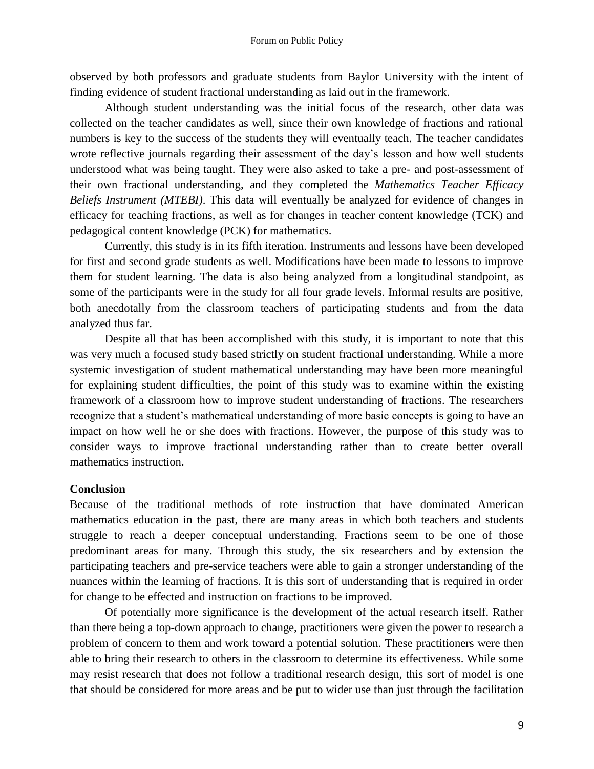observed by both professors and graduate students from Baylor University with the intent of finding evidence of student fractional understanding as laid out in the framework.

Although student understanding was the initial focus of the research, other data was collected on the teacher candidates as well, since their own knowledge of fractions and rational numbers is key to the success of the students they will eventually teach. The teacher candidates wrote reflective journals regarding their assessment of the day's lesson and how well students understood what was being taught. They were also asked to take a pre- and post-assessment of their own fractional understanding, and they completed the *Mathematics Teacher Efficacy Beliefs Instrument (MTEBI)*. This data will eventually be analyzed for evidence of changes in efficacy for teaching fractions, as well as for changes in teacher content knowledge (TCK) and pedagogical content knowledge (PCK) for mathematics.

Currently, this study is in its fifth iteration. Instruments and lessons have been developed for first and second grade students as well. Modifications have been made to lessons to improve them for student learning. The data is also being analyzed from a longitudinal standpoint, as some of the participants were in the study for all four grade levels. Informal results are positive, both anecdotally from the classroom teachers of participating students and from the data analyzed thus far.

Despite all that has been accomplished with this study, it is important to note that this was very much a focused study based strictly on student fractional understanding. While a more systemic investigation of student mathematical understanding may have been more meaningful for explaining student difficulties, the point of this study was to examine within the existing framework of a classroom how to improve student understanding of fractions. The researchers recognize that a student's mathematical understanding of more basic concepts is going to have an impact on how well he or she does with fractions. However, the purpose of this study was to consider ways to improve fractional understanding rather than to create better overall mathematics instruction.

#### **Conclusion**

Because of the traditional methods of rote instruction that have dominated American mathematics education in the past, there are many areas in which both teachers and students struggle to reach a deeper conceptual understanding. Fractions seem to be one of those predominant areas for many. Through this study, the six researchers and by extension the participating teachers and pre-service teachers were able to gain a stronger understanding of the nuances within the learning of fractions. It is this sort of understanding that is required in order for change to be effected and instruction on fractions to be improved.

Of potentially more significance is the development of the actual research itself. Rather than there being a top-down approach to change, practitioners were given the power to research a problem of concern to them and work toward a potential solution. These practitioners were then able to bring their research to others in the classroom to determine its effectiveness. While some may resist research that does not follow a traditional research design, this sort of model is one that should be considered for more areas and be put to wider use than just through the facilitation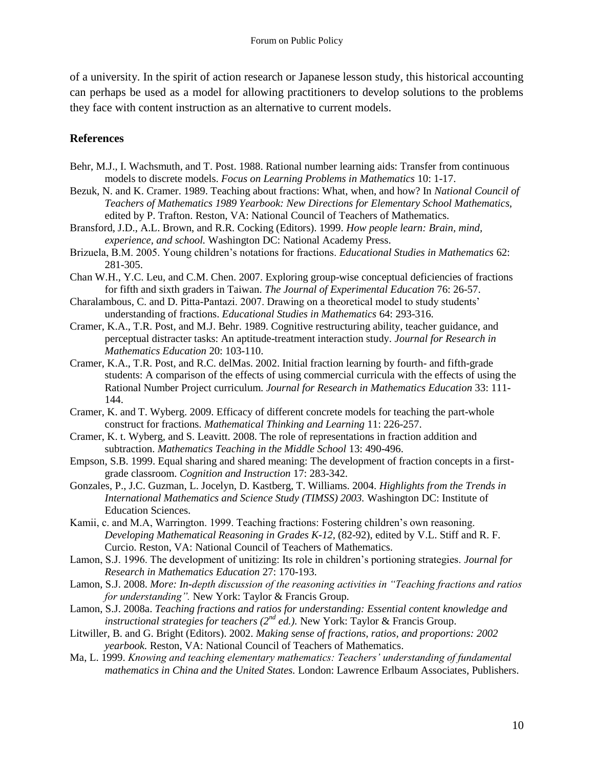of a university. In the spirit of action research or Japanese lesson study, this historical accounting can perhaps be used as a model for allowing practitioners to develop solutions to the problems they face with content instruction as an alternative to current models.

### **References**

- Behr, M.J., I. Wachsmuth, and T. Post. 1988. Rational number learning aids: Transfer from continuous models to discrete models. *Focus on Learning Problems in Mathematics* 10: 1-17.
- Bezuk, N. and K. Cramer. 1989. Teaching about fractions: What, when, and how? In *National Council of Teachers of Mathematics 1989 Yearbook: New Directions for Elementary School Mathematics,*  edited by P. Trafton. Reston, VA: National Council of Teachers of Mathematics.
- Bransford, J.D., A.L. Brown, and R.R. Cocking (Editors). 1999. *How people learn: Brain, mind, experience, and school.* Washington DC: National Academy Press.
- Brizuela, B.M. 2005. Young children's notations for fractions. *Educational Studies in Mathematics* 62: 281-305.
- Chan W.H., Y.C. Leu, and C.M. Chen. 2007. Exploring group-wise conceptual deficiencies of fractions for fifth and sixth graders in Taiwan. *The Journal of Experimental Education* 76: 26-57.
- Charalambous, C. and D. Pitta-Pantazi. 2007. Drawing on a theoretical model to study students' understanding of fractions. *Educational Studies in Mathematics* 64: 293-316.
- Cramer, K.A., T.R. Post, and M.J. Behr. 1989. Cognitive restructuring ability, teacher guidance, and perceptual distracter tasks: An aptitude-treatment interaction study. *Journal for Research in Mathematics Education* 20: 103-110.
- Cramer, K.A., T.R. Post, and R.C. delMas. 2002. Initial fraction learning by fourth- and fifth-grade students: A comparison of the effects of using commercial curricula with the effects of using the Rational Number Project curriculum. *Journal for Research in Mathematics Education* 33: 111- 144.
- Cramer, K. and T. Wyberg. 2009. Efficacy of different concrete models for teaching the part-whole construct for fractions. *Mathematical Thinking and Learning* 11: 226-257.
- Cramer, K. t. Wyberg, and S. Leavitt. 2008. The role of representations in fraction addition and subtraction. *Mathematics Teaching in the Middle School* 13: 490-496.
- Empson, S.B. 1999. Equal sharing and shared meaning: The development of fraction concepts in a firstgrade classroom. *Cognition and Instruction* 17: 283-342.
- Gonzales, P., J.C. Guzman, L. Jocelyn, D. Kastberg, T. Williams. 2004. *Highlights from the Trends in International Mathematics and Science Study (TIMSS) 2003.* Washington DC: Institute of Education Sciences.
- Kamii, c. and M.A, Warrington. 1999. Teaching fractions: Fostering children's own reasoning. *Developing Mathematical Reasoning in Grades K-12,* (82-92), edited by V.L. Stiff and R. F. Curcio. Reston, VA: National Council of Teachers of Mathematics.
- Lamon, S.J. 1996. The development of unitizing: Its role in children's portioning strategies. *Journal for Research in Mathematics Education* 27: 170-193.
- Lamon, S.J. 2008. *More: In-depth discussion of the reasoning activities in "Teaching fractions and ratios for understanding".* New York: Taylor & Francis Group.
- Lamon, S.J. 2008a. *Teaching fractions and ratios for understanding: Essential content knowledge and instructional strategies for teachers (2<sup>nd</sup> ed.).* New York: Taylor & Francis Group.
- Litwiller, B. and G. Bright (Editors). 2002. *Making sense of fractions, ratios, and proportions: 2002 yearbook.* Reston, VA: National Council of Teachers of Mathematics.
- Ma, L. 1999. *Knowing and teaching elementary mathematics: Teachers' understanding of fundamental mathematics in China and the United States.* London: Lawrence Erlbaum Associates, Publishers.